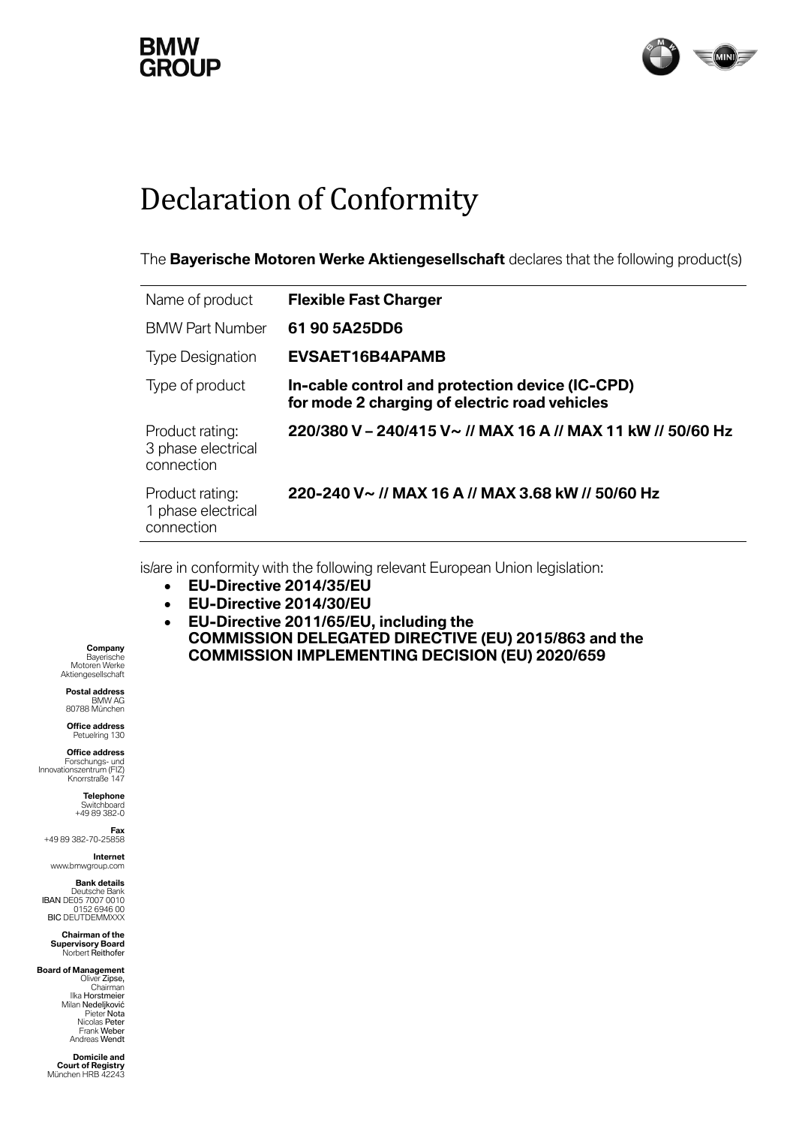## **GROUP**



## Declaration of Conformity

The **Bayerische Motoren Werke Aktiengesellschaft** declares that the following product(s)

| Name of product                                     | <b>Flexible Fast Charger</b>                                                                     |
|-----------------------------------------------------|--------------------------------------------------------------------------------------------------|
| <b>BMW Part Number</b>                              | 61 90 5A25DD6                                                                                    |
| <b>Type Designation</b>                             | <b>EVSAET16B4APAMB</b>                                                                           |
| Type of product                                     | In-cable control and protection device (IC-CPD)<br>for mode 2 charging of electric road vehicles |
| Product rating:<br>3 phase electrical<br>connection | 220/380 V - 240/415 V ~ // MAX 16 A // MAX 11 kW // 50/60 Hz                                     |
| Product rating:<br>1 phase electrical<br>connection | 220-240 V~ // MAX 16 A // MAX 3.68 kW // 50/60 Hz                                                |

is/are in conformity with the following relevant European Union legislation:

- **EU-Directive 2014/35/EU**
- **EU-Directive 2014/30/EU**
- **EU-Directive 2011/65/EU, including the COMMISSION DELEGATED DIRECTIVE (EU) 2015/863 and the COMMISSION IMPLEMENTING DECISION (EU) 2020/659**

**Company** Bayerische Motoren Werke Aktiengesellschaft

**Postal address** BMW AG 80788 München

**Office address** Petuelring 130

**Office address**<br>Forschungs- und<br>Innovationszentrum (FIZ) Knorrstraße 147

> **Telephone** Switchboard +49 89 382-0

**Fax** +49 89 382-70-25858

**Internet** www.bmwgroup.com

**Bank details**

Deutsche Bank<br>IBAN DE05 7007 0010<br>152 6946 00 BIC DEUTDEMMXXX

**Chairman of the Supervisory Board** Norbert Reithofer

**Board of Management** Oliver Zipse, Chairman Ilka Horstmeier Milan Nedeljković Pieter Nota Nicolas Peter

> Frank Weber Andreas Wendt **Domicile and Court of Registry** München HRB 42243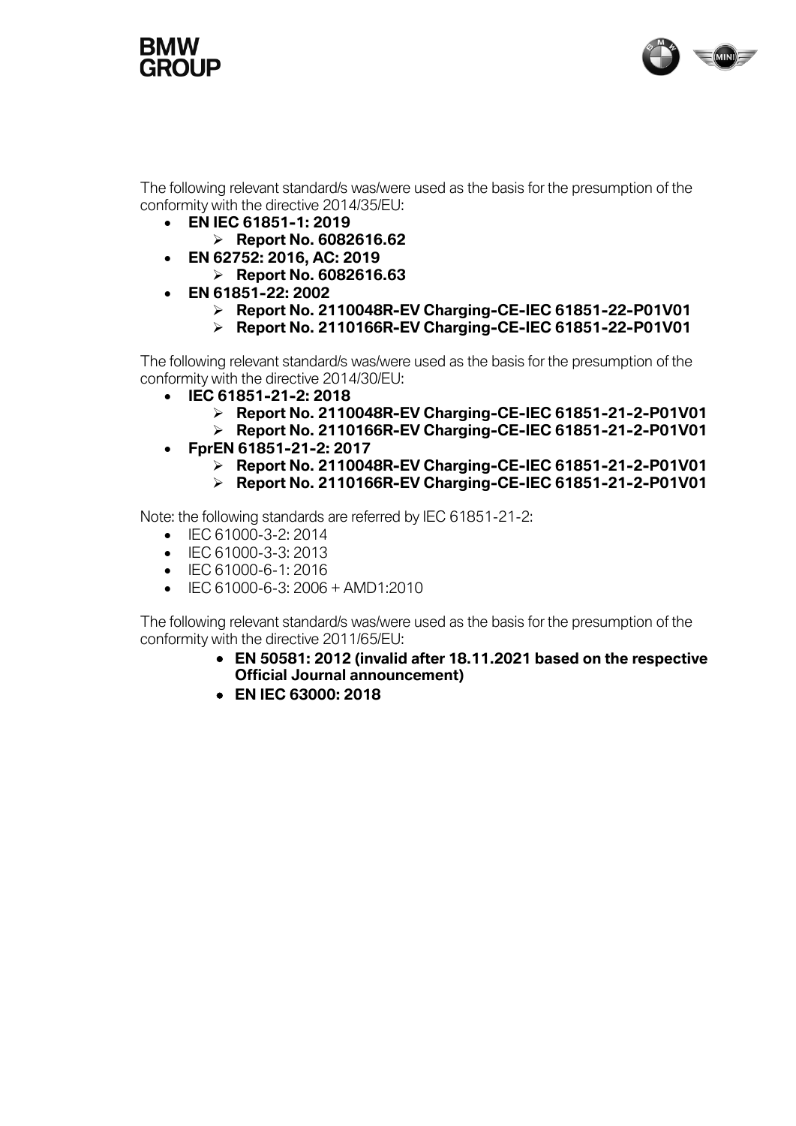



The following relevant standard/s was/were used as the basis for the presumption of the conformity with the directive 2014/35/EU:

- **EN IEC 61851-1: 2019**
	- ➢ **Report No. 6082616.62**
- **EN 62752: 2016, AC: 2019** 
	- ➢ **Report No. 6082616.63**
- **EN 61851-22: 2002**
	- ➢ **Report No. 2110048R-EV Charging-CE-IEC 61851-22-P01V01**
	- ➢ **Report No. 2110166R-EV Charging-CE-IEC 61851-22-P01V01**

The following relevant standard/s was/were used as the basis for the presumption of the conformity with the directive 2014/30/EU:

- **IEC 61851-21-2: 2018**
	- ➢ **Report No. 2110048R-EV Charging-CE-IEC 61851-21-2-P01V01**
	- ➢ **Report No. 2110166R-EV Charging-CE-IEC 61851-21-2-P01V01**
- **FprEN 61851-21-2: 2017**
	- ➢ **Report No. 2110048R-EV Charging-CE-IEC 61851-21-2-P01V01**
	- ➢ **Report No. 2110166R-EV Charging-CE-IEC 61851-21-2-P01V01**

Note: the following standards are referred by IEC 61851-21-2:

- IEC 61000-3-2: 2014
- IFC 61000-3-3: 2013
- IEC 61000-6-1: 2016
- IEC 61000-6-3: 2006 + AMD1:2010

The following relevant standard/s was/were used as the basis for the presumption of the conformity with the directive 2011/65/EU:

- **EN 50581: 2012 (invalid after 18.11.2021 based on the respective Official Journal announcement)**
- **EN IEC 63000: 2018**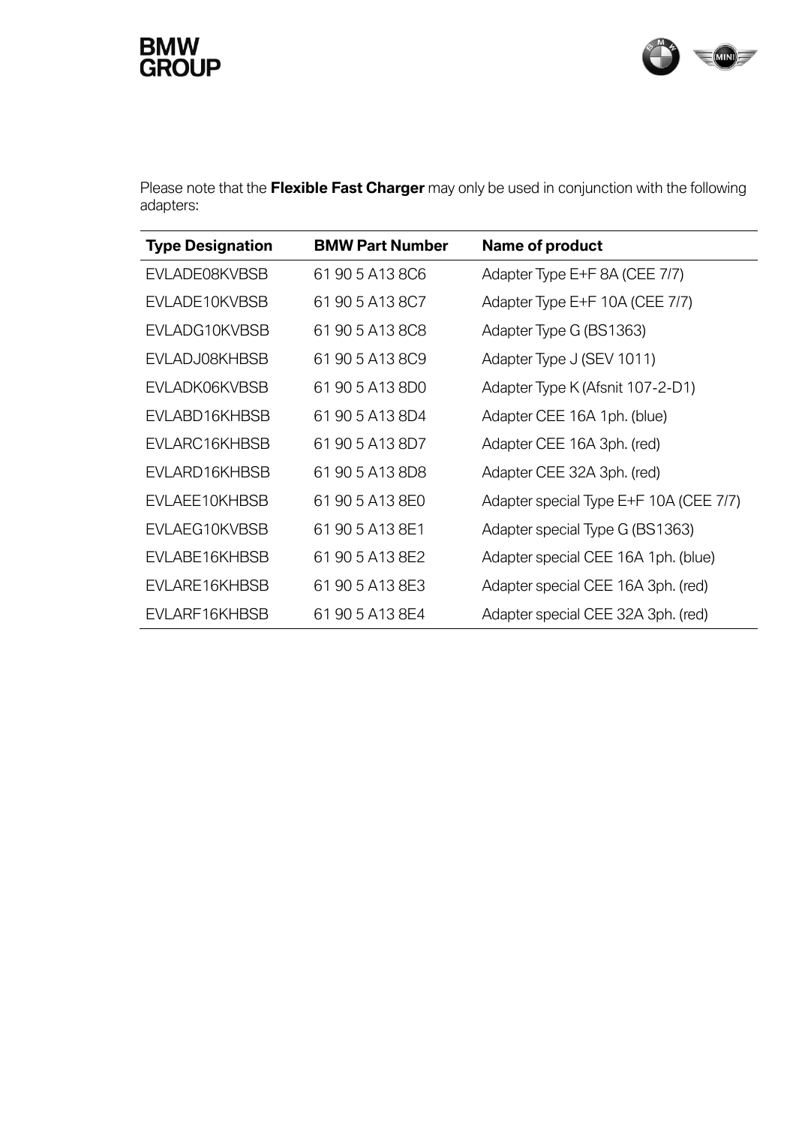## **BMW<br>GROUP**



Please note that the **Flexible Fast Charger** may only be used in conjunction with the following adapters:

| <b>Type Designation</b> | <b>BMW Part Number</b> | Name of product                        |
|-------------------------|------------------------|----------------------------------------|
| EVLADE08KVBSB           | 61 90 5 A13 8C6        | Adapter Type E+F 8A (CEE 7/7)          |
| EVLADE10KVBSB           | 61 90 5 A13 8C7        | Adapter Type E+F 10A (CEE 7/7)         |
| EVLADG10KVBSB           | 61 90 5 A13 8C8        | Adapter Type G (BS1363)                |
| EVLADJ08KHBSB           | 61 90 5 A13 8C9        | Adapter Type J (SEV 1011)              |
| EVLADK06KVBSB           | 61 90 5 A13 8D0        | Adapter Type K (Afsnit 107-2-D1)       |
| EVLABD16KHBSB           | 61 90 5 A13 8D4        | Adapter CEE 16A 1ph. (blue)            |
| EVLARC16KHBSB           | 61 90 5 A13 8D7        | Adapter CEE 16A 3ph. (red)             |
| EVLARD16KHBSB           | 61 90 5 A13 8D8        | Adapter CEE 32A 3ph. (red)             |
| EVLAEE10KHBSB           | 61 90 5 A13 8E0        | Adapter special Type E+F 10A (CEE 7/7) |
| EVLAEG10KVBSB           | 61 90 5 A13 8E1        | Adapter special Type G (BS1363)        |
| EVLABE16KHBSB           | 61 90 5 A13 8E2        | Adapter special CEE 16A 1ph. (blue)    |
| EVLARE16KHBSB           | 61 90 5 A13 8E3        | Adapter special CEE 16A 3ph. (red)     |
| EVLARF16KHBSB           | 61 90 5 A13 8E4        | Adapter special CEE 32A 3ph. (red)     |